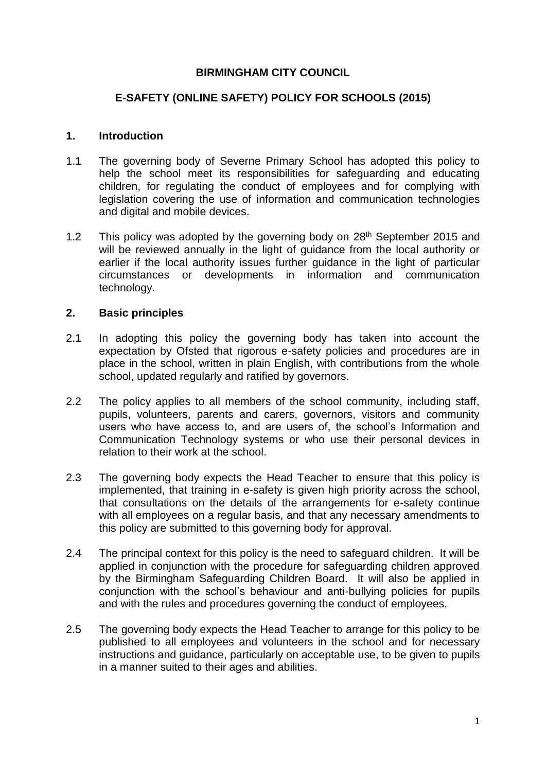### **BIRMINGHAM CITY COUNCIL**

## **E-SAFETY (ONLINE SAFETY) POLICY FOR SCHOOLS (2015)**

#### **1. Introduction**

- 1.1 The governing body of Severne Primary School has adopted this policy to help the school meet its responsibilities for safeguarding and educating children, for regulating the conduct of employees and for complying with legislation covering the use of information and communication technologies and digital and mobile devices.
- 1.2 This policy was adopted by the governing body on  $28<sup>th</sup>$  September 2015 and will be reviewed annually in the light of guidance from the local authority or earlier if the local authority issues further guidance in the light of particular circumstances or developments in information and communication technology.

### **2. Basic principles**

- 2.1 In adopting this policy the governing body has taken into account the expectation by Ofsted that rigorous e-safety policies and procedures are in place in the school, written in plain English, with contributions from the whole school, updated regularly and ratified by governors.
- 2.2 The policy applies to all members of the school community, including staff, pupils, volunteers, parents and carers, governors, visitors and community users who have access to, and are users of, the school's Information and Communication Technology systems or who use their personal devices in relation to their work at the school.
- 2.3 The governing body expects the Head Teacher to ensure that this policy is implemented, that training in e-safety is given high priority across the school, that consultations on the details of the arrangements for e-safety continue with all employees on a regular basis, and that any necessary amendments to this policy are submitted to this governing body for approval.
- 2.4 The principal context for this policy is the need to safeguard children. It will be applied in conjunction with the procedure for safeguarding children approved by the Birmingham Safeguarding Children Board. It will also be applied in conjunction with the school's behaviour and anti-bullying policies for pupils and with the rules and procedures governing the conduct of employees.
- 2.5 The governing body expects the Head Teacher to arrange for this policy to be published to all employees and volunteers in the school and for necessary instructions and guidance, particularly on acceptable use, to be given to pupils in a manner suited to their ages and abilities.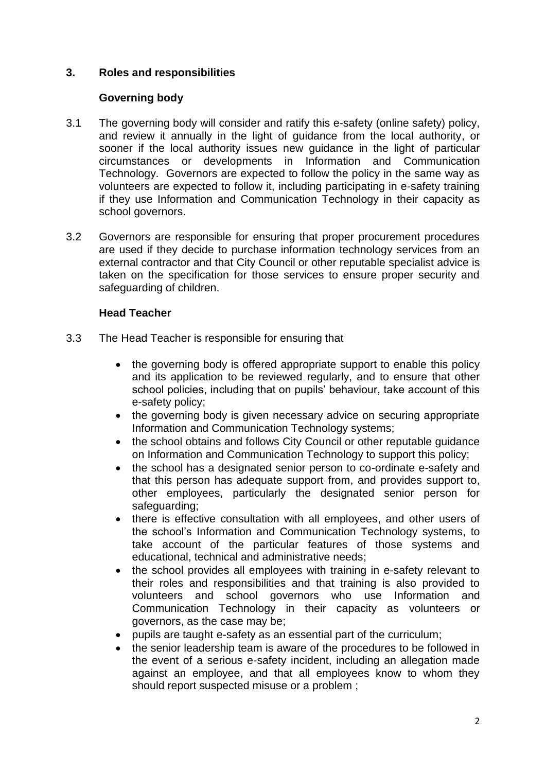# **3. Roles and responsibilities**

### **Governing body**

- 3.1 The governing body will consider and ratify this e-safety (online safety) policy, and review it annually in the light of guidance from the local authority, or sooner if the local authority issues new guidance in the light of particular circumstances or developments in Information and Communication Technology. Governors are expected to follow the policy in the same way as volunteers are expected to follow it, including participating in e-safety training if they use Information and Communication Technology in their capacity as school governors.
- 3.2 Governors are responsible for ensuring that proper procurement procedures are used if they decide to purchase information technology services from an external contractor and that City Council or other reputable specialist advice is taken on the specification for those services to ensure proper security and safeguarding of children.

# **Head Teacher**

- 3.3 The Head Teacher is responsible for ensuring that
	- the governing body is offered appropriate support to enable this policy and its application to be reviewed regularly, and to ensure that other school policies, including that on pupils' behaviour, take account of this e-safety policy;
	- the governing body is given necessary advice on securing appropriate Information and Communication Technology systems;
	- the school obtains and follows City Council or other reputable guidance on Information and Communication Technology to support this policy;
	- the school has a designated senior person to co-ordinate e-safety and that this person has adequate support from, and provides support to, other employees, particularly the designated senior person for safeguarding;
	- there is effective consultation with all employees, and other users of the school's Information and Communication Technology systems, to take account of the particular features of those systems and educational, technical and administrative needs;
	- the school provides all employees with training in e-safety relevant to their roles and responsibilities and that training is also provided to volunteers and school governors who use Information and Communication Technology in their capacity as volunteers or governors, as the case may be;
	- pupils are taught e-safety as an essential part of the curriculum;
	- the senior leadership team is aware of the procedures to be followed in the event of a serious e-safety incident, including an allegation made against an employee, and that all employees know to whom they should report suspected misuse or a problem ;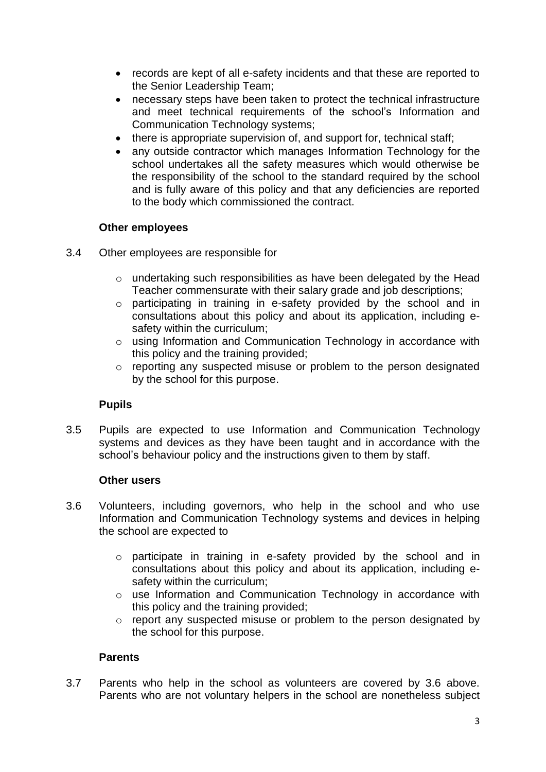- records are kept of all e-safety incidents and that these are reported to the Senior Leadership Team;
- necessary steps have been taken to protect the technical infrastructure and meet technical requirements of the school's Information and Communication Technology systems;
- there is appropriate supervision of, and support for, technical staff;
- any outside contractor which manages Information Technology for the school undertakes all the safety measures which would otherwise be the responsibility of the school to the standard required by the school and is fully aware of this policy and that any deficiencies are reported to the body which commissioned the contract.

### **Other employees**

- 3.4 Other employees are responsible for
	- o undertaking such responsibilities as have been delegated by the Head Teacher commensurate with their salary grade and job descriptions;
	- o participating in training in e-safety provided by the school and in consultations about this policy and about its application, including esafety within the curriculum;
	- o using Information and Communication Technology in accordance with this policy and the training provided;
	- o reporting any suspected misuse or problem to the person designated by the school for this purpose.

### **Pupils**

3.5 Pupils are expected to use Information and Communication Technology systems and devices as they have been taught and in accordance with the school's behaviour policy and the instructions given to them by staff.

### **Other users**

- 3.6 Volunteers, including governors, who help in the school and who use Information and Communication Technology systems and devices in helping the school are expected to
	- o participate in training in e-safety provided by the school and in consultations about this policy and about its application, including esafety within the curriculum;
	- o use Information and Communication Technology in accordance with this policy and the training provided;
	- o report any suspected misuse or problem to the person designated by the school for this purpose.

# **Parents**

3.7 Parents who help in the school as volunteers are covered by 3.6 above. Parents who are not voluntary helpers in the school are nonetheless subject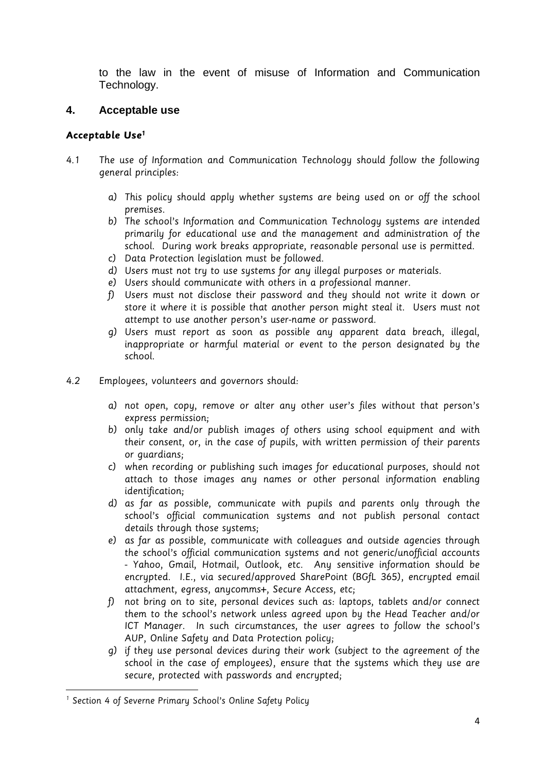to the law in the event of misuse of Information and Communication Technology.

# **4. Acceptable use**

### **Acceptable Use<sup>1</sup>**

- 4.1 The use of Information and Communication Technology should follow the following general principles:
	- a) This policu should apply whether sustems are being used on or off the school premises.
	- b) The school's Information and Communication Technology systems are intended primarily for educational use and the management and administration of the school. During work breaks appropriate, reasonable personal use is permitted.
	- c) Data Protection legislation must be followed.
	- d) Users must not try to use systems for any illegal purposes or materials.
	- e) Users should communicate with others in a professional manner.
	- f) Users must not disclose their password and they should not write it down or store it where it is possible that another person might steal it. Users must not attempt to use another person's user-name or password.
	- g) Users must report as soon as possible any apparent data breach, illegal, inappropriate or harmful material or event to the person designated by the school.
- 4.2 Employees, volunteers and governors should:
	- a) not open, copy, remove or alter any other user's files without that person's express permission;
	- b) only take and/or publish images of others using school equipment and with their consent, or, in the case of pupils, with written permission of their parents or guardians;
	- c) when recording or publishing such images for educational purposes, should not attach to those images any names or other personal information enabling identification;
	- d) as far as possible, communicate with pupils and parents only through the school's official communication systems and not publish personal contact details through those systems;
	- e) as far as possible, communicate with colleagues and outside agencies through the school's official communication systems and not generic/unofficial accounts - Yahoo, Gmail, Hotmail, Outlook, etc. Any sensitive information should be encrypted. I.E., via secured/approved SharePoint (BGfL 365), encrypted email attachment, egress, anycomms+, Secure Access, etc;
	- f) not bring on to site, personal devices such as: laptops, tablets and/or connect them to the school's network unless agreed upon by the Head Teacher and/or ICT Manager. In such circumstances, the user agrees to follow the school's AUP, Online Safety and Data Protection policy;
	- g) if they use personal devices during their work (subject to the agreement of the school in the case of employees), ensure that the systems which they use are secure, protected with passwords and encrypted;

**.** 

<sup>&</sup>lt;sup>1</sup> Section 4 of Severne Primary School's Online Safety Policy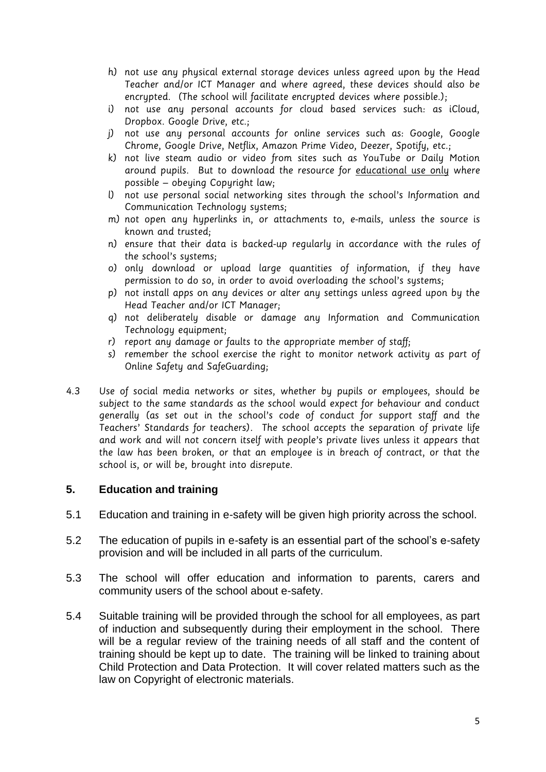- h) not use any physical external storage devices unless agreed upon by the Head Teacher and/or ICT Manager and where agreed, these devices should also be encrypted. (The school will facilitate encrypted devices where possible.);
- i) not use any personal accounts for cloud based services such: as iCloud, Dropbox. Google Drive, etc.;
- j) not use any personal accounts for online services such as: Google, Google Chrome, Google Drive, Netflix, Amazon Prime Video, Deezer, Spotify, etc.;
- k) not live steam audio or video from sites such as YouTube or Daily Motion around pupils. But to download the resource for educational use only where possible – obeying Copyright law;
- l) not use personal social networking sites through the school's Information and Communication Technology systems;
- m) not open any hyperlinks in, or attachments to, e-mails, unless the source is known and trusted;
- n) ensure that their data is backed-up regularly in accordance with the rules of the school's systems;
- o) only download or upload large quantities of information, if they have permission to do so, in order to avoid overloading the school's systems;
- p) not install apps on any devices or alter any settings unless agreed upon by the Head Teacher and/or ICT Manager;
- q) not deliberately disable or damage any Information and Communication Technology equipment;
- r) report any damage or faults to the appropriate member of staff;
- s) remember the school exercise the right to monitor network activity as part of Online Safety and SafeGuarding;
- 4.3 Use of social media networks or sites, whether by pupils or employees, should be subject to the same standards as the school would expect for behaviour and conduct generally (as set out in the school's code of conduct for support staff and the Teachers' Standards for teachers). The school accepts the separation of private life and work and will not concern itself with people's private lives unless it appears that the law has been broken, or that an employee is in breach of contract, or that the school is, or will be, brought into disrepute.

### **5. Education and training**

- 5.1 Education and training in e-safety will be given high priority across the school.
- 5.2 The education of pupils in e-safety is an essential part of the school's e-safety provision and will be included in all parts of the curriculum.
- 5.3 The school will offer education and information to parents, carers and community users of the school about e-safety.
- 5.4 Suitable training will be provided through the school for all employees, as part of induction and subsequently during their employment in the school. There will be a regular review of the training needs of all staff and the content of training should be kept up to date. The training will be linked to training about Child Protection and Data Protection. It will cover related matters such as the law on Copyright of electronic materials.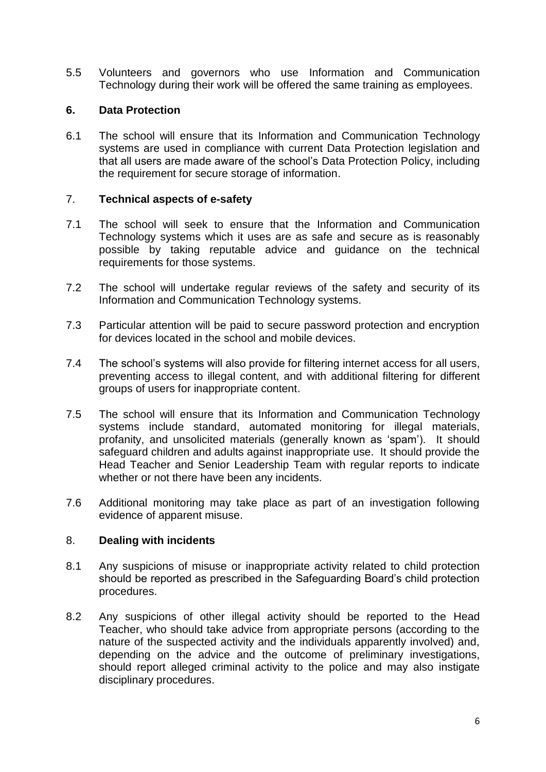5.5 Volunteers and governors who use Information and Communication Technology during their work will be offered the same training as employees.

## **6. Data Protection**

6.1 The school will ensure that its Information and Communication Technology systems are used in compliance with current Data Protection legislation and that all users are made aware of the school's Data Protection Policy, including the requirement for secure storage of information.

### 7. **Technical aspects of e-safety**

- 7.1 The school will seek to ensure that the Information and Communication Technology systems which it uses are as safe and secure as is reasonably possible by taking reputable advice and guidance on the technical requirements for those systems.
- 7.2 The school will undertake regular reviews of the safety and security of its Information and Communication Technology systems.
- 7.3 Particular attention will be paid to secure password protection and encryption for devices located in the school and mobile devices.
- 7.4 The school's systems will also provide for filtering internet access for all users, preventing access to illegal content, and with additional filtering for different groups of users for inappropriate content.
- 7.5 The school will ensure that its Information and Communication Technology systems include standard, automated monitoring for illegal materials, profanity, and unsolicited materials (generally known as 'spam'). It should safeguard children and adults against inappropriate use. It should provide the Head Teacher and Senior Leadership Team with regular reports to indicate whether or not there have been any incidents.
- 7.6 Additional monitoring may take place as part of an investigation following evidence of apparent misuse.

### 8. **Dealing with incidents**

- 8.1 Any suspicions of misuse or inappropriate activity related to child protection should be reported as prescribed in the Safeguarding Board's child protection procedures.
- 8.2 Any suspicions of other illegal activity should be reported to the Head Teacher, who should take advice from appropriate persons (according to the nature of the suspected activity and the individuals apparently involved) and, depending on the advice and the outcome of preliminary investigations, should report alleged criminal activity to the police and may also instigate disciplinary procedures.